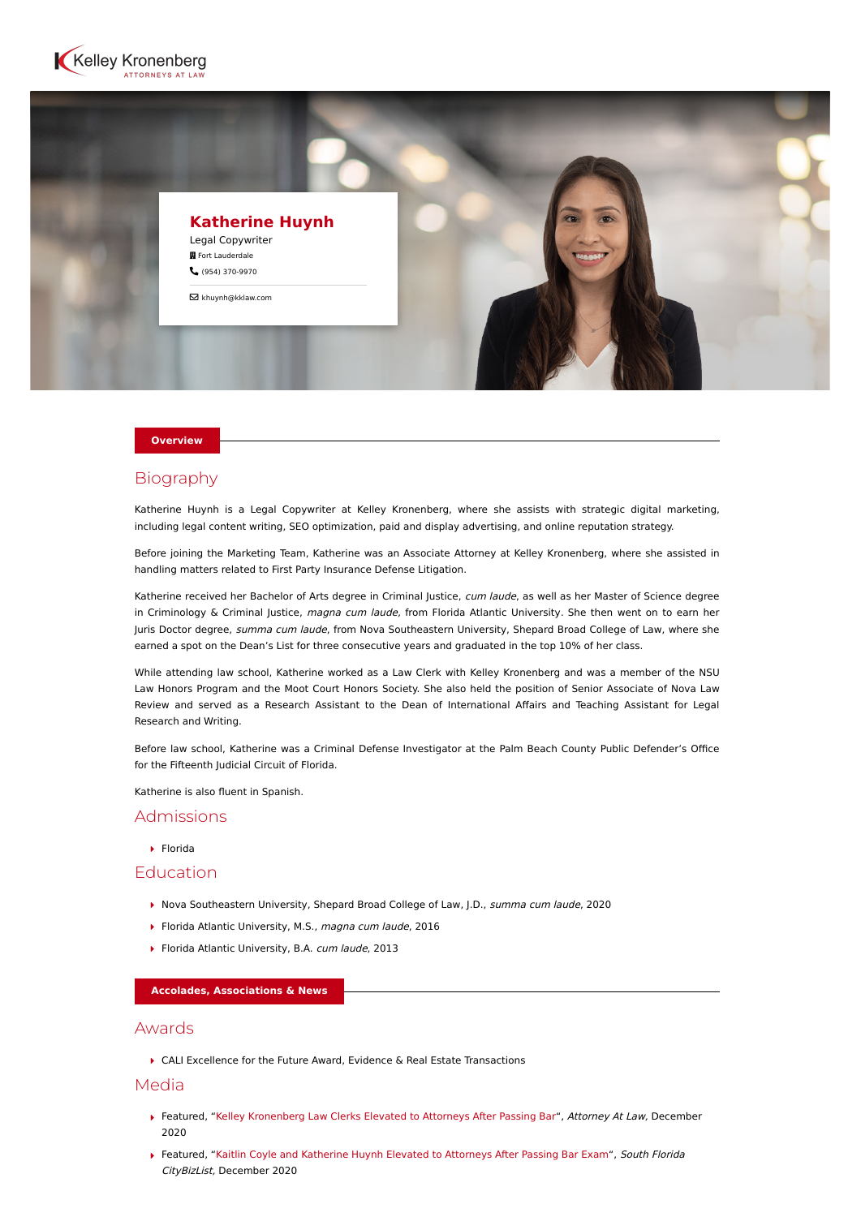



#### **Overview**

## Biography

Katherine Huynh is a Legal Copywriter at Kelley Kronenberg, where she assists with strategic digital marketing, including legal content writing, SEO optimization, paid and display advertising, and online reputation strategy.

Before joining the Marketing Team, Katherine was an Associate Attorney at Kelley Kronenberg, where she assisted in handling matters related to First Party Insurance Defense Litigation.

Katherine received her Bachelor of Arts degree in Criminal Justice, cum laude, as well as her Master of Science degree in Criminology & Criminal Justice, magna cum laude, from Florida Atlantic University. She then went on to earn her Juris Doctor degree, summa cum laude, from Nova Southeastern University, Shepard Broad College of Law, where she earned a spot on the Dean's List for three consecutive years and graduated in the top 10% of her class.

While attending law school, Katherine worked as a Law Clerk with Kelley Kronenberg and was a member of the NSU Law Honors Program and the Moot Court Honors Society. She also held the position of Senior Associate of Nova Law Review and served as a Research Assistant to the Dean of International Affairs and Teaching Assistant for Legal Research and Writing.

Before law school, Katherine was a Criminal Defense Investigator at the Palm Beach County Public Defender's Office for the Fifteenth Judicial Circuit of Florida.

Katherine is also fluent in Spanish.

## Admissions

Florida

## Education

- ▶ Nova Southeastern University, Shepard Broad College of Law, J.D., summa cum laude, 2020
- Florida Atlantic University, M.S., magna cum laude, 2016
- Florida Atlantic University, B.A. cum laude, 2013

#### **Accolades, Associations & News**

### Awards

CALI Excellence for the Future Award, Evidence & Real Estate Transactions

## Media

- ▶ Featured, ["Kelley Kronenberg Law Clerks Elevated to Attorneys After Passing Bar"](https://attorneyatlawmagazine.com/two-kelley-kronenberg-law-clerks-elevated-to-attorneys-after-passing-bar-exam), Attorney At Law, December 2020
- Featured, ["Kaitlin Coyle and Katherine Huynh Elevated to Attorneys After Passing Bar Exam](https://southflorida.citybizlist.com/article/643338/kaitlin-coyle-and-katherine-huynh-elevated-to-attorneys-after-passing-bar-exam)", South Florida CityBizList, December 2020